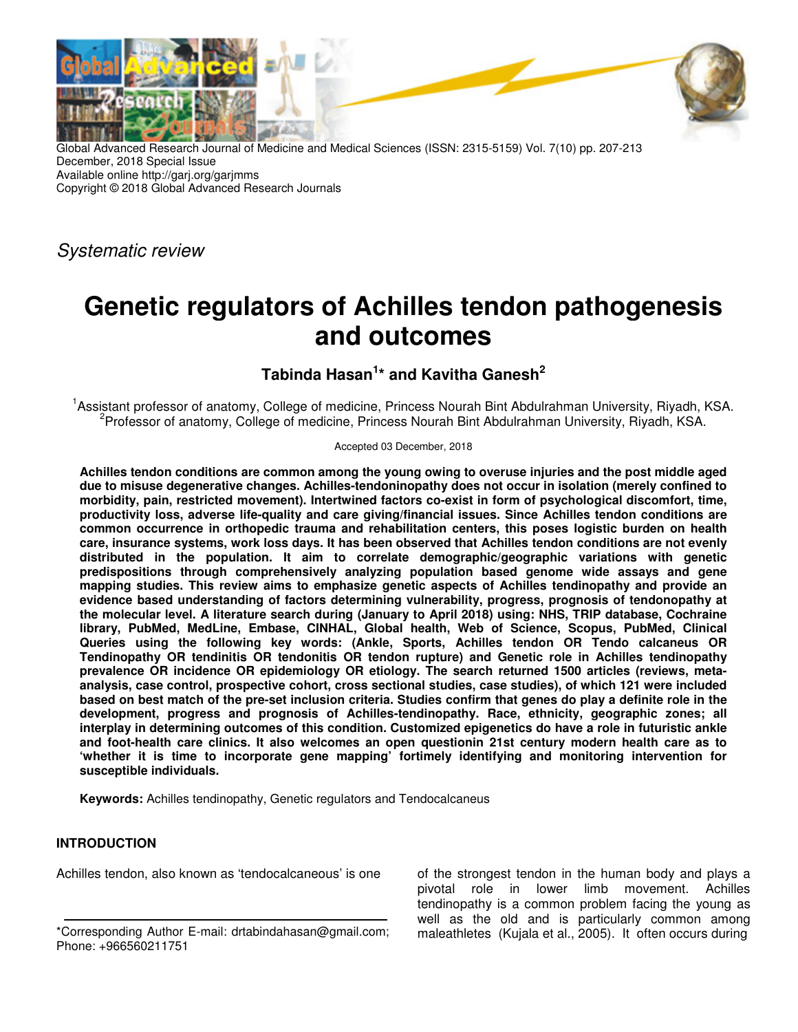

Global Advanced Research Journal of Medicine and Medical Sciences (ISSN: 2315-5159) Vol. 7(10) pp. 207-213 December, 2018 Special Issue Available online http://garj.org/garjmms Copyright © 2018 Global Advanced Research Journals

Systematic review

# **Genetic regulators of Achilles tendon pathogenesis and outcomes**

## **Tabinda Hasan<sup>1</sup> \* and Kavitha Ganesh<sup>2</sup>**

<sup>1</sup>Assistant professor of anatomy, College of medicine, Princess Nourah Bint Abdulrahman University, Riyadh, KSA. <sup>2</sup> Professor of anatomy, College of medicine, Princess Nourah Bint Abdulrahman University, Riyadh, KSA.

#### Accepted 03 December, 2018

**Achilles tendon conditions are common among the young owing to overuse injuries and the post middle aged due to misuse degenerative changes. Achilles-tendoninopathy does not occur in isolation (merely confined to morbidity, pain, restricted movement). Intertwined factors co-exist in form of psychological discomfort, time, productivity loss, adverse life-quality and care giving/financial issues. Since Achilles tendon conditions are common occurrence in orthopedic trauma and rehabilitation centers, this poses logistic burden on health care, insurance systems, work loss days. It has been observed that Achilles tendon conditions are not evenly distributed in the population. It aim to correlate demographic/geographic variations with genetic predispositions through comprehensively analyzing population based genome wide assays and gene mapping studies. This review aims to emphasize genetic aspects of Achilles tendinopathy and provide an evidence based understanding of factors determining vulnerability, progress, prognosis of tendonopathy at the molecular level. A literature search during (January to April 2018) using: NHS, TRIP database, Cochraine library, PubMed, MedLine, Embase, CINHAL, Global health, Web of Science, Scopus, PubMed, Clinical Queries using the following key words: (Ankle, Sports, Achilles tendon OR Tendo calcaneus OR Tendinopathy OR tendinitis OR tendonitis OR tendon rupture) and Genetic role in Achilles tendinopathy prevalence OR incidence OR epidemiology OR etiology. The search returned 1500 articles (reviews, metaanalysis, case control, prospective cohort, cross sectional studies, case studies), of which 121 were included based on best match of the pre-set inclusion criteria. Studies confirm that genes do play a definite role in the development, progress and prognosis of Achilles-tendinopathy. Race, ethnicity, geographic zones; all interplay in determining outcomes of this condition. Customized epigenetics do have a role in futuristic ankle and foot-health care clinics. It also welcomes an open questionin 21st century modern health care as to 'whether it is time to incorporate gene mapping' fortimely identifying and monitoring intervention for susceptible individuals.** 

**Keywords:** Achilles tendinopathy, Genetic regulators and Tendocalcaneus

## **INTRODUCTION**

Achilles tendon, also known as 'tendocalcaneous' is one

of the strongest tendon in the human body and plays a pivotal role in lower limb movement. Achilles tendinopathy is a common problem facing the young as well as the old and is particularly common among maleathletes (Kujala et al., 2005). It often occurs during

<sup>\*</sup>Corresponding Author E-mail: drtabindahasan@gmail.com; Phone: +966560211751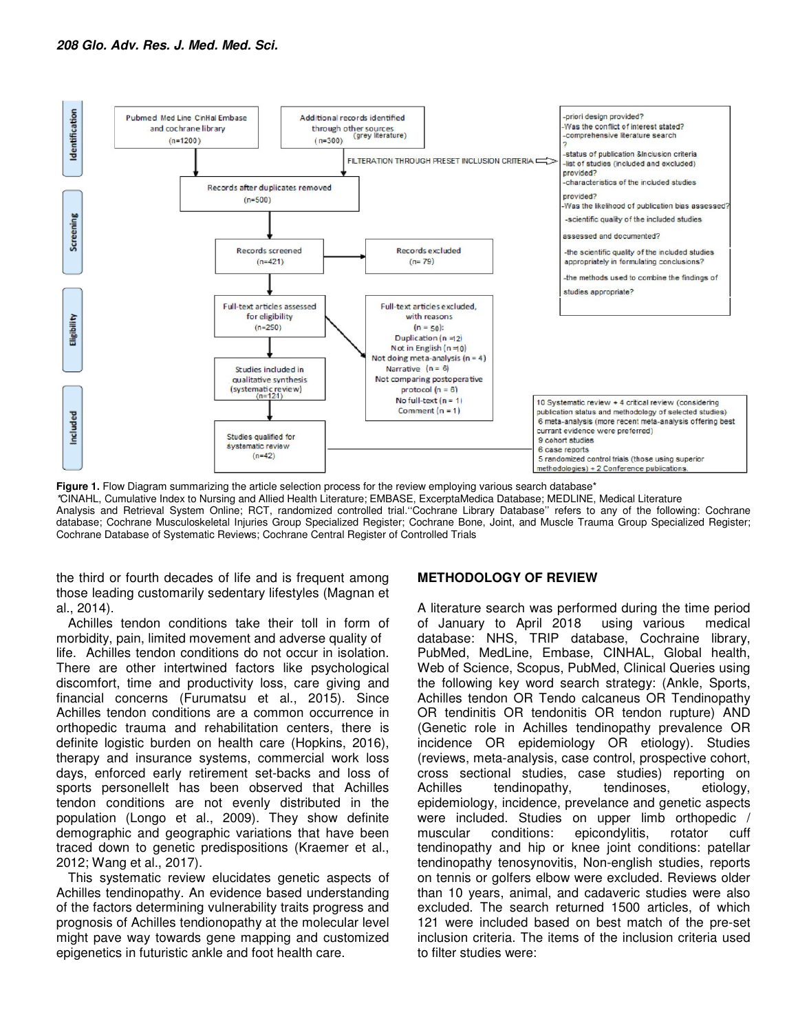

Figure 1. Flow Diagram summarizing the article selection process for the review employing various search database<sup>\*</sup> \*CINAHL, Cumulative Index to Nursing and Allied Health Literature; EMBASE, ExcerptaMedica Database; MEDLINE, Medical Literature Analysis and Retrieval System Online; RCT, randomized controlled trial.''Cochrane Library Database'' refers to any of the following: Cochrane database; Cochrane Musculoskeletal Injuries Group Specialized Register; Cochrane Bone, Joint, and Muscle Trauma Group Specialized Register; Cochrane Database of Systematic Reviews; Cochrane Central Register of Controlled Trials

the third or fourth decades of life and is frequent among those leading customarily sedentary lifestyles (Magnan et al., 2014).

Achilles tendon conditions take their toll in form of morbidity, pain, limited movement and adverse quality of life. Achilles tendon conditions do not occur in isolation. There are other intertwined factors like psychological discomfort, time and productivity loss, care giving and financial concerns (Furumatsu et al., 2015). Since Achilles tendon conditions are a common occurrence in orthopedic trauma and rehabilitation centers, there is definite logistic burden on health care (Hopkins, 2016), therapy and insurance systems, commercial work loss days, enforced early retirement set-backs and loss of sports personelleIt has been observed that Achilles tendon conditions are not evenly distributed in the population (Longo et al., 2009). They show definite demographic and geographic variations that have been traced down to genetic predispositions (Kraemer et al., 2012; Wang et al., 2017).

This systematic review elucidates genetic aspects of Achilles tendinopathy. An evidence based understanding of the factors determining vulnerability traits progress and prognosis of Achilles tendionopathy at the molecular level might pave way towards gene mapping and customized epigenetics in futuristic ankle and foot health care.

## **METHODOLOGY OF REVIEW**

A literature search was performed during the time period of January to April 2018 using various medical database: NHS, TRIP database, Cochraine library, PubMed, MedLine, Embase, CINHAL, Global health, Web of Science, Scopus, PubMed, Clinical Queries using the following key word search strategy: (Ankle, Sports, Achilles tendon OR Tendo calcaneus OR Tendinopathy OR tendinitis OR tendonitis OR tendon rupture) AND (Genetic role in Achilles tendinopathy prevalence OR incidence OR epidemiology OR etiology). Studies (reviews, meta-analysis, case control, prospective cohort, cross sectional studies, case studies) reporting on Achilles tendinopathy, tendinoses, etiology, epidemiology, incidence, prevelance and genetic aspects were included. Studies on upper limb orthopedic / muscular conditions: epicondylitis, rotator cuff tendinopathy and hip or knee joint conditions: patellar tendinopathy tenosynovitis, Non-english studies, reports on tennis or golfers elbow were excluded. Reviews older than 10 years, animal, and cadaveric studies were also excluded. The search returned 1500 articles, of which 121 were included based on best match of the pre-set inclusion criteria. The items of the inclusion criteria used to filter studies were: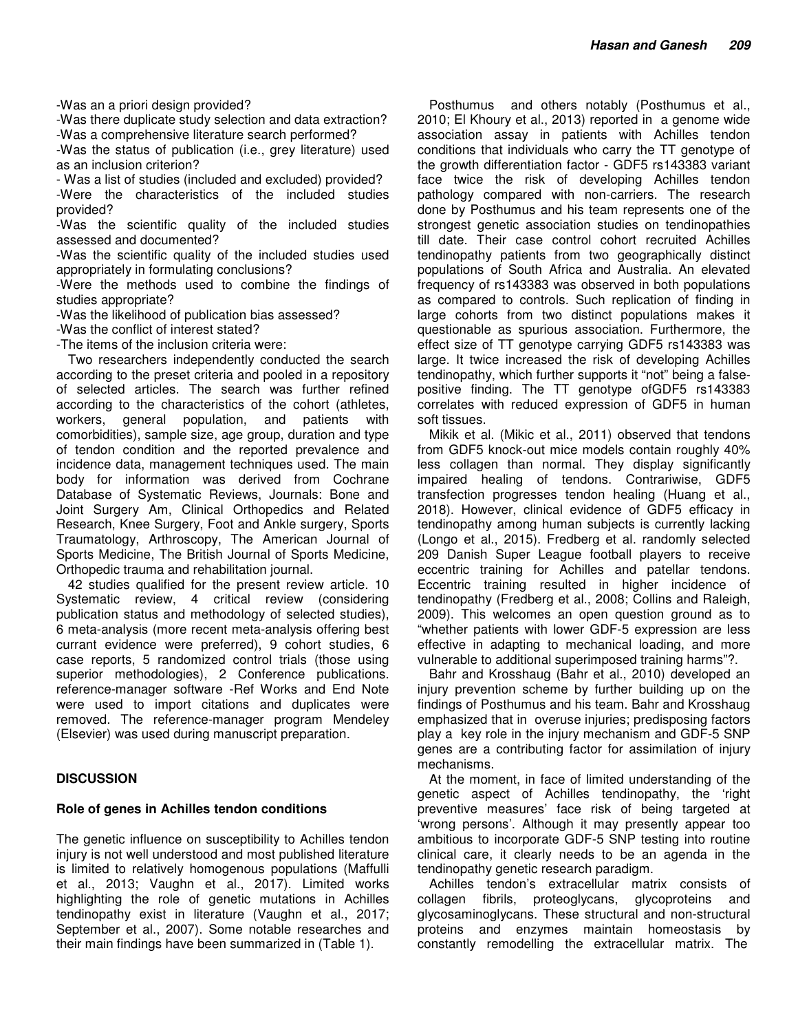-Was an a priori design provided?

-Was there duplicate study selection and data extraction? -Was a comprehensive literature search performed?

-Was the status of publication (i.e., grey literature) used as an inclusion criterion?

- Was a list of studies (included and excluded) provided?

-Were the characteristics of the included studies provided?

-Was the scientific quality of the included studies assessed and documented?

-Was the scientific quality of the included studies used appropriately in formulating conclusions?

-Were the methods used to combine the findings of studies appropriate?

-Was the likelihood of publication bias assessed?

-Was the conflict of interest stated?

-The items of the inclusion criteria were:

Two researchers independently conducted the search according to the preset criteria and pooled in a repository of selected articles. The search was further refined according to the characteristics of the cohort (athletes, workers, general population, and patients with comorbidities), sample size, age group, duration and type of tendon condition and the reported prevalence and incidence data, management techniques used. The main body for information was derived from Cochrane Database of Systematic Reviews, Journals: Bone and Joint Surgery Am, Clinical Orthopedics and Related Research, Knee Surgery, Foot and Ankle surgery, Sports Traumatology, Arthroscopy, The American Journal of Sports Medicine, The British Journal of Sports Medicine, Orthopedic trauma and rehabilitation journal.

42 studies qualified for the present review article. 10 Systematic review, 4 critical review (considering publication status and methodology of selected studies), 6 meta-analysis (more recent meta-analysis offering best currant evidence were preferred), 9 cohort studies, 6 case reports, 5 randomized control trials (those using superior methodologies), 2 Conference publications. reference-manager software -Ref Works and End Note were used to import citations and duplicates were removed. The reference-manager program Mendeley (Elsevier) was used during manuscript preparation.

## **DISCUSSION**

## **Role of genes in Achilles tendon conditions**

The genetic influence on susceptibility to Achilles tendon injury is not well understood and most published literature is limited to relatively homogenous populations (Maffulli et al., 2013; Vaughn et al., 2017). Limited works highlighting the role of genetic mutations in Achilles tendinopathy exist in literature (Vaughn et al., 2017; September et al., 2007). Some notable researches and their main findings have been summarized in (Table 1).

Posthumus and others notably (Posthumus et al., 2010; El Khoury et al., 2013) reported in a genome wide association assay in patients with Achilles tendon conditions that individuals who carry the TT genotype of the growth differentiation factor - GDF5 rs143383 variant face twice the risk of developing Achilles tendon pathology compared with non-carriers. The research done by Posthumus and his team represents one of the strongest genetic association studies on tendinopathies till date. Their case control cohort recruited Achilles tendinopathy patients from two geographically distinct populations of South Africa and Australia. An elevated frequency of rs143383 was observed in both populations as compared to controls. Such replication of finding in large cohorts from two distinct populations makes it questionable as spurious association. Furthermore, the effect size of TT genotype carrying GDF5 rs143383 was large. It twice increased the risk of developing Achilles tendinopathy, which further supports it "not" being a falsepositive finding. The TT genotype ofGDF5 rs143383 correlates with reduced expression of GDF5 in human soft tissues.

Mikik et al. (Mikic et al., 2011) observed that tendons from GDF5 knock-out mice models contain roughly 40% less collagen than normal. They display significantly impaired healing of tendons. Contrariwise, GDF5 transfection progresses tendon healing (Huang et al., 2018). However, clinical evidence of GDF5 efficacy in tendinopathy among human subjects is currently lacking (Longo et al., 2015). Fredberg et al. randomly selected 209 Danish Super League football players to receive eccentric training for Achilles and patellar tendons. Eccentric training resulted in higher incidence of tendinopathy (Fredberg et al., 2008; Collins and Raleigh, 2009). This welcomes an open question ground as to "whether patients with lower GDF-5 expression are less effective in adapting to mechanical loading, and more vulnerable to additional superimposed training harms"?.

Bahr and Krosshaug (Bahr et al., 2010) developed an injury prevention scheme by further building up on the findings of Posthumus and his team. Bahr and Krosshaug emphasized that in overuse injuries; predisposing factors play a key role in the injury mechanism and GDF-5 SNP genes are a contributing factor for assimilation of injury mechanisms.

At the moment, in face of limited understanding of the genetic aspect of Achilles tendinopathy, the 'right preventive measures' face risk of being targeted at 'wrong persons'. Although it may presently appear too ambitious to incorporate GDF-5 SNP testing into routine clinical care, it clearly needs to be an agenda in the tendinopathy genetic research paradigm.

Achilles tendon's extracellular matrix consists of collagen fibrils, proteoglycans, glycoproteins and glycosaminoglycans. These structural and non-structural proteins and enzymes maintain homeostasis by constantly remodelling the extracellular matrix. The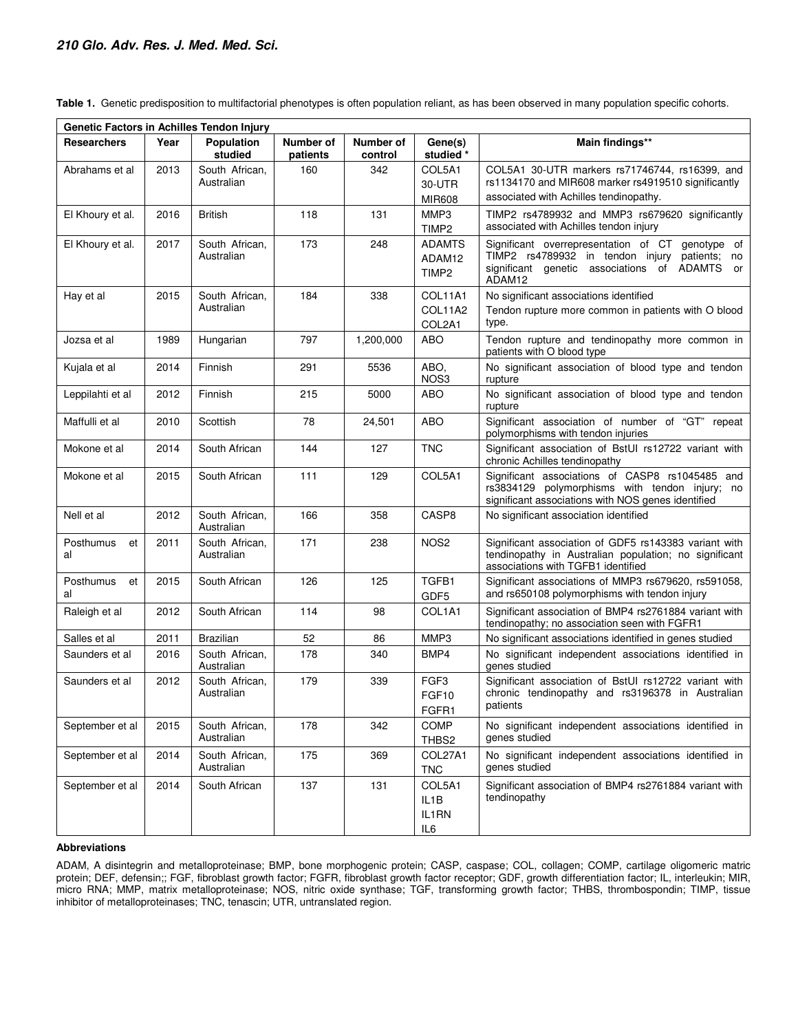| Genetic Factors in Achilles Tendon Injury |      |                              |                       |                      |                                              |                                                                                                                                                              |
|-------------------------------------------|------|------------------------------|-----------------------|----------------------|----------------------------------------------|--------------------------------------------------------------------------------------------------------------------------------------------------------------|
| <b>Researchers</b>                        | Year | <b>Population</b><br>studied | Number of<br>patients | Number of<br>control | Gene(s)<br>studied *                         | Main findings**                                                                                                                                              |
| Abrahams et al                            | 2013 | South African.<br>Australian | 160                   | 342                  | COL5A1<br>30-UTR                             | COL5A1 30-UTR markers rs71746744, rs16399, and<br>rs1134170 and MIR608 marker rs4919510 significantly                                                        |
|                                           |      |                              |                       |                      | <b>MIR608</b>                                | associated with Achilles tendinopathy.                                                                                                                       |
| El Khoury et al.                          | 2016 | <b>British</b>               | 118                   | 131                  | MMP3<br>TIMP <sub>2</sub>                    | TIMP2 rs4789932 and MMP3 rs679620 significantly<br>associated with Achilles tendon injury                                                                    |
| El Khoury et al.                          | 2017 | South African,<br>Australian | 173                   | 248                  | <b>ADAMTS</b><br>ADAM12<br>TIMP <sub>2</sub> | Significant overrepresentation of CT genotype of<br>TIMP2 rs4789932 in tendon injury patients; no<br>significant genetic associations of ADAMTS or<br>ADAM12 |
| Hay et al                                 | 2015 | South African,<br>Australian | 184                   | 338                  | COL11A1<br>COL11A2<br>COL2A1                 | No significant associations identified<br>Tendon rupture more common in patients with O blood<br>type.                                                       |
| Jozsa et al                               | 1989 | Hungarian                    | 797                   | 1,200,000            | ABO                                          | Tendon rupture and tendinopathy more common in<br>patients with O blood type                                                                                 |
| Kujala et al                              | 2014 | Finnish                      | 291                   | 5536                 | ABO.<br>NOS3                                 | No significant association of blood type and tendon<br>rupture                                                                                               |
| Leppilahti et al                          | 2012 | Finnish                      | 215                   | 5000                 | ABO                                          | No significant association of blood type and tendon<br>rupture                                                                                               |
| Maffulli et al                            | 2010 | Scottish                     | 78                    | 24,501               | ABO                                          | Significant association of number of "GT" repeat<br>polymorphisms with tendon injuries                                                                       |
| Mokone et al                              | 2014 | South African                | 144                   | 127                  | <b>TNC</b>                                   | Significant association of BstUI rs12722 variant with<br>chronic Achilles tendinopathy                                                                       |
| Mokone et al                              | 2015 | South African                | 111                   | 129                  | COL5A1                                       | Significant associations of CASP8 rs1045485 and<br>rs3834129 polymorphisms with tendon injury; no<br>significant associations with NOS genes identified      |
| Nell et al                                | 2012 | South African,<br>Australian | 166                   | 358                  | CASP8                                        | No significant association identified                                                                                                                        |
| Posthumus<br>et<br>al                     | 2011 | South African,<br>Australian | 171                   | 238                  | NOS <sub>2</sub>                             | Significant association of GDF5 rs143383 variant with<br>tendinopathy in Australian population; no significant<br>associations with TGFB1 identified         |
| Posthumus<br>et<br>al                     | 2015 | South African                | 126                   | 125                  | TGFB1<br>GDF <sub>5</sub>                    | Significant associations of MMP3 rs679620, rs591058,<br>and rs650108 polymorphisms with tendon injury                                                        |
| Raleigh et al                             | 2012 | South African                | 114                   | 98                   | COL1A1                                       | Significant association of BMP4 rs2761884 variant with<br>tendinopathy; no association seen with FGFR1                                                       |
| Salles et al                              | 2011 | <b>Brazilian</b>             | 52                    | 86                   | MMP3                                         | No significant associations identified in genes studied                                                                                                      |
| Saunders et al                            | 2016 | South African,<br>Australian | 178                   | 340                  | BMP4                                         | No significant independent associations identified in<br>genes studied                                                                                       |
| Saunders et al                            | 2012 | South African,<br>Australian | 179                   | 339                  | FGF <sub>3</sub><br>FGF10<br>FGFR1           | Significant association of BstUI rs12722 variant with<br>chronic tendinopathy and rs3196378 in Australian<br>patients                                        |
| September et al                           | 2015 | South African,<br>Australian | 178                   | 342                  | COMP<br>THBS2                                | No significant independent associations identified in<br>genes studied                                                                                       |
| September et al                           | 2014 | South African,<br>Australian | 175                   | 369                  | COL27A1<br><b>TNC</b>                        | No significant independent associations identified in<br>genes studied                                                                                       |
| September et al                           | 2014 | South African                | 137                   | 131                  | COL5A1<br>IL1B<br>IL1RN<br>IL6               | Significant association of BMP4 rs2761884 variant with<br>tendinopathy                                                                                       |

**Table 1.** Genetic predisposition to multifactorial phenotypes is often population reliant, as has been observed in many population specific cohorts.

#### **Abbreviations**

ADAM, A disintegrin and metalloproteinase; BMP, bone morphogenic protein; CASP, caspase; COL, collagen; COMP, cartilage oligomeric matric protein; DEF, defensin;; FGF, fibroblast growth factor; FGFR, fibroblast growth factor receptor; GDF, growth differentiation factor; IL, interleukin; MIR, micro RNA; MMP, matrix metalloproteinase; NOS, nitric oxide synthase; TGF, transforming growth factor; THBS, thrombospondin; TIMP, tissue inhibitor of metalloproteinases; TNC, tenascin; UTR, untranslated region.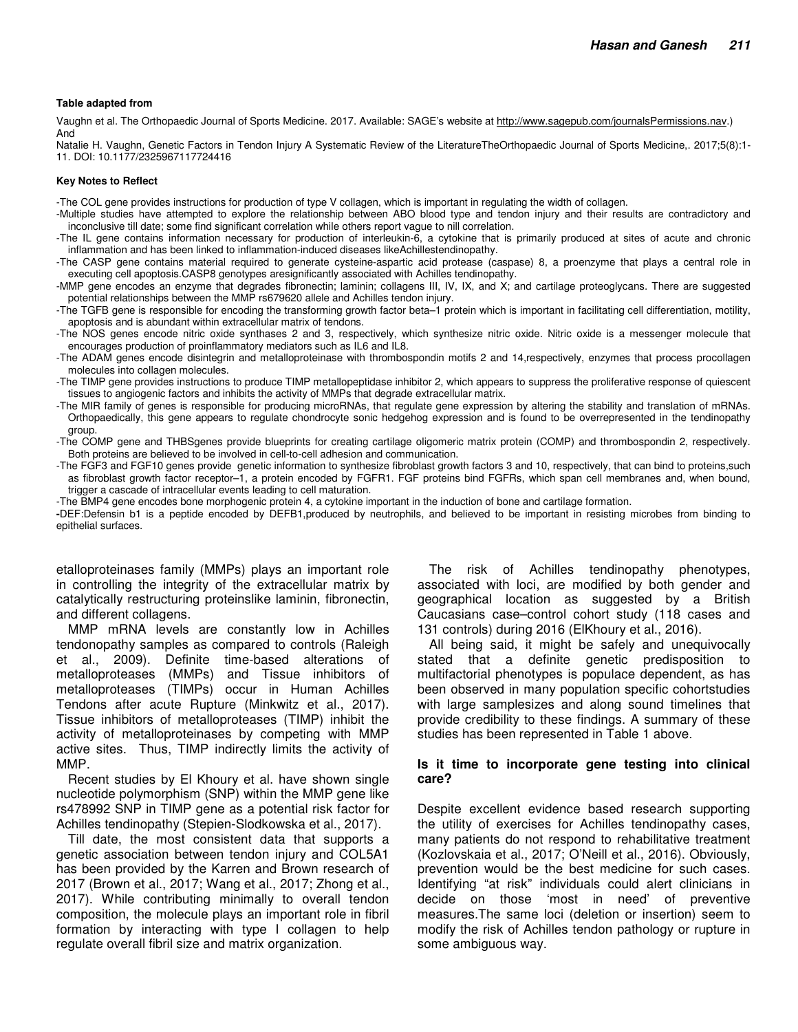#### **Table adapted from**

Vaughn et al. The Orthopaedic Journal of Sports Medicine. 2017. Available: SAGE's website at http://www.sagepub.com/journalsPermissions.nav.) And

Natalie H. Vaughn, Genetic Factors in Tendon Injury A Systematic Review of the LiteratureTheOrthopaedic Journal of Sports Medicine,. 2017;5(8):1- 11. DOI: 10.1177/2325967117724416

#### **Key Notes to Reflect**

-The COL gene provides instructions for production of type V collagen, which is important in regulating the width of collagen.

- -Multiple studies have attempted to explore the relationship between ABO blood type and tendon injury and their results are contradictory and inconclusive till date; some find significant correlation while others report vague to nill correlation.
- -The IL gene contains information necessary for production of interleukin-6, a cytokine that is primarily produced at sites of acute and chronic inflammation and has been linked to inflammation-induced diseases likeAchillestendinopathy.
- -The CASP gene contains material required to generate cysteine-aspartic acid protease (caspase) 8, a proenzyme that plays a central role in executing cell apoptosis.CASP8 genotypes aresignificantly associated with Achilles tendinopathy.
- -MMP gene encodes an enzyme that degrades fibronectin; laminin; collagens III, IV, IX, and X; and cartilage proteoglycans. There are suggested potential relationships between the MMP rs679620 allele and Achilles tendon injury.
- -The TGFB gene is responsible for encoding the transforming growth factor beta–1 protein which is important in facilitating cell differentiation, motility, apoptosis and is abundant within extracellular matrix of tendons.
- -The NOS genes encode nitric oxide synthases 2 and 3, respectively, which synthesize nitric oxide. Nitric oxide is a messenger molecule that encourages production of proinflammatory mediators such as IL6 and IL8.
- -The ADAM genes encode disintegrin and metalloproteinase with thrombospondin motifs 2 and 14,respectively, enzymes that process procollagen molecules into collagen molecules.
- -The TIMP gene provides instructions to produce TIMP metallopeptidase inhibitor 2, which appears to suppress the proliferative response of quiescent tissues to angiogenic factors and inhibits the activity of MMPs that degrade extracellular matrix.
- -The MIR family of genes is responsible for producing microRNAs, that regulate gene expression by altering the stability and translation of mRNAs. Orthopaedically, this gene appears to regulate chondrocyte sonic hedgehog expression and is found to be overrepresented in the tendinopathy group.
- -The COMP gene and THBSgenes provide blueprints for creating cartilage oligomeric matrix protein (COMP) and thrombospondin 2, respectively. Both proteins are believed to be involved in cell-to-cell adhesion and communication.
- -The FGF3 and FGF10 genes provide genetic information to synthesize fibroblast growth factors 3 and 10, respectively, that can bind to proteins,such as fibroblast growth factor receptor–1, a protein encoded by FGFR1. FGF proteins bind FGFRs, which span cell membranes and, when bound, trigger a cascade of intracellular events leading to cell maturation.

-The BMP4 gene encodes bone morphogenic protein 4, a cytokine important in the induction of bone and cartilage formation.

**-**DEF:Defensin b1 is a peptide encoded by DEFB1,produced by neutrophils, and believed to be important in resisting microbes from binding to epithelial surfaces.

etalloproteinases family (MMPs) plays an important role in controlling the integrity of the extracellular matrix by catalytically restructuring proteinslike laminin, fibronectin, and different collagens.

MMP mRNA levels are constantly low in Achilles tendonopathy samples as compared to controls (Raleigh et al., 2009). Definite time-based alterations of metalloproteases (MMPs) and Tissue inhibitors of metalloproteases (TIMPs) occur in Human Achilles Tendons after acute Rupture (Minkwitz et al., 2017). Tissue inhibitors of metalloproteases (TIMP) inhibit the activity of metalloproteinases by competing with MMP active sites. Thus, TIMP indirectly limits the activity of MMP.

Recent studies by El Khoury et al. have shown single nucleotide polymorphism (SNP) within the MMP gene like rs478992 SNP in TIMP gene as a potential risk factor for Achilles tendinopathy (Stepien-Slodkowska et al., 2017).

Till date, the most consistent data that supports a genetic association between tendon injury and COL5A1 has been provided by the Karren and Brown research of 2017 (Brown et al., 2017; Wang et al., 2017; Zhong et al., 2017). While contributing minimally to overall tendon composition, the molecule plays an important role in fibril formation by interacting with type I collagen to help regulate overall fibril size and matrix organization.

The risk of Achilles tendinopathy phenotypes, associated with loci, are modified by both gender and geographical location as suggested by a British Caucasians case–control cohort study (118 cases and 131 controls) during 2016 (ElKhoury et al., 2016).

All being said, it might be safely and unequivocally stated that a definite genetic predisposition to multifactorial phenotypes is populace dependent, as has been observed in many population specific cohortstudies with large samplesizes and along sound timelines that provide credibility to these findings. A summary of these studies has been represented in Table 1 above.

#### **Is it time to incorporate gene testing into clinical care?**

Despite excellent evidence based research supporting the utility of exercises for Achilles tendinopathy cases, many patients do not respond to rehabilitative treatment (Kozlovskaia et al., 2017; O'Neill et al., 2016). Obviously, prevention would be the best medicine for such cases. Identifying "at risk" individuals could alert clinicians in decide on those 'most in need' of preventive measures.The same loci (deletion or insertion) seem to modify the risk of Achilles tendon pathology or rupture in some ambiguous way.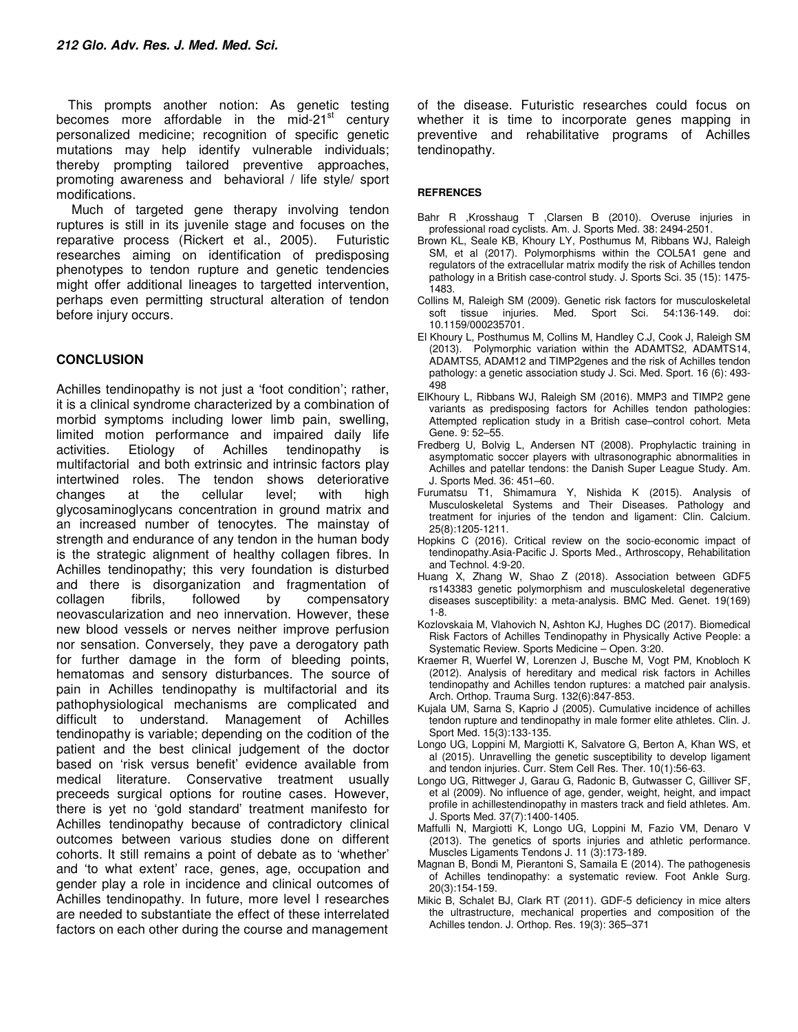This prompts another notion: As genetic testing becomes more affordable in the mid-21 $^{\text{st}}$  century personalized medicine; recognition of specific genetic mutations may help identify vulnerable individuals; thereby prompting tailored preventive approaches, promoting awareness and behavioral / life style/ sport modifications.

 Much of targeted gene therapy involving tendon ruptures is still in its juvenile stage and focuses on the reparative process (Rickert et al., 2005). Futuristic researches aiming on identification of predisposing phenotypes to tendon rupture and genetic tendencies might offer additional lineages to targetted intervention, perhaps even permitting structural alteration of tendon before injury occurs.

## **CONCLUSION**

Achilles tendinopathy is not just a 'foot condition'; rather, it is a clinical syndrome characterized by a combination of morbid symptoms including lower limb pain, swelling, limited motion performance and impaired daily life activities. Etiology of Achilles tendinopathy is multifactorial and both extrinsic and intrinsic factors play intertwined roles. The tendon shows deteriorative changes at the cellular level; with high glycosaminoglycans concentration in ground matrix and an increased number of tenocytes. The mainstay of strength and endurance of any tendon in the human body is the strategic alignment of healthy collagen fibres. In Achilles tendinopathy; this very foundation is disturbed and there is disorganization and fragmentation of collagen fibrils, followed by compensatory neovascularization and neo innervation. However, these new blood vessels or nerves neither improve perfusion nor sensation. Conversely, they pave a derogatory path for further damage in the form of bleeding points, hematomas and sensory disturbances. The source of pain in Achilles tendinopathy is multifactorial and its pathophysiological mechanisms are complicated and difficult to understand. Management of Achilles tendinopathy is variable; depending on the codition of the patient and the best clinical judgement of the doctor based on 'risk versus benefit' evidence available from medical literature. Conservative treatment usually preceeds surgical options for routine cases. However, there is yet no 'gold standard' treatment manifesto for Achilles tendinopathy because of contradictory clinical outcomes between various studies done on different cohorts. It still remains a point of debate as to 'whether' and 'to what extent' race, genes, age, occupation and gender play a role in incidence and clinical outcomes of Achilles tendinopathy. In future, more level I researches are needed to substantiate the effect of these interrelated factors on each other during the course and management of the disease. Futuristic researches could focus on whether it is time to incorporate genes mapping in preventive and rehabilitative programs of Achilles tendinopathy.

#### **REFRENCES**

- Bahr R ,Krosshaug T ,Clarsen B (2010). Overuse injuries in professional road cyclists. Am. J. Sports Med. 38: 2494-2501.
- Brown KL, Seale KB, Khoury LY, Posthumus M, Ribbans WJ, Raleigh SM, et al (2017). Polymorphisms within the COL5A1 gene and regulators of the extracellular matrix modify the risk of Achilles tendon pathology in a British case-control study. J. Sports Sci. 35 (15): 1475- 1483.
- Collins M, Raleigh SM (2009). Genetic risk factors for musculoskeletal Med. Sport Sci. 54:136-149. 10.1159/000235701.
- El Khoury L, Posthumus M, Collins M, Handley C.J, Cook J, Raleigh SM (2013). Polymorphic variation within the ADAMTS2, ADAMTS14, ADAMTS5, ADAM12 and TIMP2genes and the risk of Achilles tendon pathology: a genetic association study J. Sci. Med. Sport. 16 (6): 493- 498
- ElKhoury L, Ribbans WJ, Raleigh SM (2016). MMP3 and TIMP2 gene variants as predisposing factors for Achilles tendon pathologies: Attempted replication study in a British case–control cohort. Meta Gene. 9: 52–55.
- Fredberg U, Bolvig L, Andersen NT (2008). Prophylactic training in asymptomatic soccer players with ultrasonographic abnormalities in Achilles and patellar tendons: the Danish Super League Study. Am. J. Sports Med. 36: 451–60.
- Furumatsu T1, Shimamura Y, Nishida K (2015). Analysis of Musculoskeletal Systems and Their Diseases. Pathology and treatment for injuries of the tendon and ligament: Clin. Calcium. 25(8):1205-1211.
- Hopkins C (2016). Critical review on the socio-economic impact of tendinopathy.Asia-Pacific J. Sports Med., Arthroscopy, Rehabilitation and Technol. 4:9-20.
- Huang X, Zhang W, Shao Z (2018). Association between GDF5 rs143383 genetic polymorphism and musculoskeletal degenerative diseases susceptibility: a meta-analysis. BMC Med. Genet. 19(169) 1-8.
- Kozlovskaia M, Vlahovich N, Ashton KJ, Hughes DC (2017). Biomedical Risk Factors of Achilles Tendinopathy in Physically Active People: a Systematic Review. Sports Medicine – Open. 3:20.
- Kraemer R, Wuerfel W, Lorenzen J, Busche M, Vogt PM, Knobloch K (2012). Analysis of hereditary and medical risk factors in Achilles tendinopathy and Achilles tendon ruptures: a matched pair analysis. Arch. Orthop. Trauma Surg. 132(6):847-853.
- Kujala UM, Sarna S, Kaprio J (2005). Cumulative incidence of achilles tendon rupture and tendinopathy in male former elite athletes. Clin. J. Sport Med. 15(3):133-135.
- Longo UG, Loppini M, Margiotti K, Salvatore G, Berton A, Khan WS, et al (2015). Unravelling the genetic susceptibility to develop ligament and tendon injuries. Curr. Stem Cell Res. Ther. 10(1):56-63.
- Longo UG, Rittweger J, Garau G, Radonic B, Gutwasser C, Gilliver SF, et al (2009). No influence of age, gender, weight, height, and impact profile in achillestendinopathy in masters track and field athletes. Am. J. Sports Med. 37(7):1400-1405.
- Maffulli N, Margiotti K, Longo UG, Loppini M, Fazio VM, Denaro V (2013). The genetics of sports injuries and athletic performance. Muscles Ligaments Tendons J. 11 (3):173-189.
- Magnan B, Bondi M, Pierantoni S, Samaila E (2014). The pathogenesis of Achilles tendinopathy: a systematic review. Foot Ankle Surg. 20(3):154-159.
- Mikic B, Schalet BJ, Clark RT (2011). GDF-5 deficiency in mice alters the ultrastructure, mechanical properties and composition of the Achilles tendon. J. Orthop. Res. 19(3): 365–371